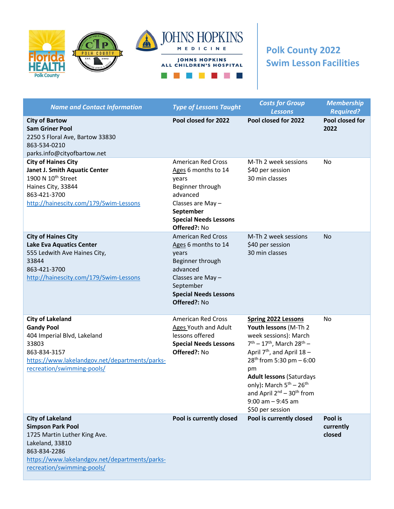



## **Polk County 2022 Swim Lesson Facilities**

| <b>Name and Contact Information</b>                                                                                                                                                                    | <b>Type of Lessons Taught</b>                                                                                                                                               | <b>Costs for Group</b><br><b>Lessons</b>                                                                                                                                                                                                                                                                                                                                           | <b>Membership</b><br><b>Required?</b> |
|--------------------------------------------------------------------------------------------------------------------------------------------------------------------------------------------------------|-----------------------------------------------------------------------------------------------------------------------------------------------------------------------------|------------------------------------------------------------------------------------------------------------------------------------------------------------------------------------------------------------------------------------------------------------------------------------------------------------------------------------------------------------------------------------|---------------------------------------|
| <b>City of Bartow</b><br><b>Sam Griner Pool</b><br>2250 S Floral Ave, Bartow 33830<br>863-534-0210<br>parks.info@cityofbartow.net                                                                      | Pool closed for 2022                                                                                                                                                        | Pool closed for 2022                                                                                                                                                                                                                                                                                                                                                               | Pool closed for<br>2022               |
| <b>City of Haines City</b><br><b>Janet J. Smith Aquatic Center</b><br>1900 N 10 <sup>th</sup> Street<br>Haines City, 33844<br>863-421-3700<br>http://hainescity.com/179/Swim-Lessons                   | <b>American Red Cross</b><br>Ages 6 months to 14<br>years<br>Beginner through<br>advanced<br>Classes are May -<br>September<br><b>Special Needs Lessons</b><br>Offered?: No | M-Th 2 week sessions<br>\$40 per session<br>30 min classes                                                                                                                                                                                                                                                                                                                         | No                                    |
| <b>City of Haines City</b><br><b>Lake Eva Aquatics Center</b><br>555 Ledwith Ave Haines City,<br>33844<br>863-421-3700<br>http://hainescity.com/179/Swim-Lessons                                       | <b>American Red Cross</b><br>Ages 6 months to 14<br>years<br>Beginner through<br>advanced<br>Classes are May-<br>September<br><b>Special Needs Lessons</b><br>Offered?: No  | M-Th 2 week sessions<br>\$40 per session<br>30 min classes                                                                                                                                                                                                                                                                                                                         | <b>No</b>                             |
| <b>City of Lakeland</b><br><b>Gandy Pool</b><br>404 Imperial Blvd, Lakeland<br>33803<br>863-834-3157<br>https://www.lakelandgov.net/departments/parks-<br>recreation/swimming-pools/                   | <b>American Red Cross</b><br>Ages Youth and Adult<br>lessons offered<br><b>Special Needs Lessons</b><br>Offered?: No                                                        | <b>Spring 2022 Lessons</b><br>Youth lessons (M-Th 2<br>week sessions): March<br>$7^{th} - 17^{th}$ , March 28 <sup>th</sup> –<br>April $7th$ , and April 18 -<br>$28th$ from 5:30 pm $-6:00$<br>pm<br><b>Adult lessons (Saturdays</b><br>only): March $5^{th}$ – 26 <sup>th</sup><br>and April 2 <sup>nd</sup> – 30 <sup>th</sup> from<br>$9:00$ am $-9:45$ am<br>\$50 per session | No                                    |
| <b>City of Lakeland</b><br><b>Simpson Park Pool</b><br>1725 Martin Luther King Ave.<br>Lakeland, 33810<br>863-834-2286<br>https://www.lakelandgov.net/departments/parks-<br>recreation/swimming-pools/ | Pool is currently closed                                                                                                                                                    | Pool is currently closed                                                                                                                                                                                                                                                                                                                                                           | Pool is<br>currently<br>closed        |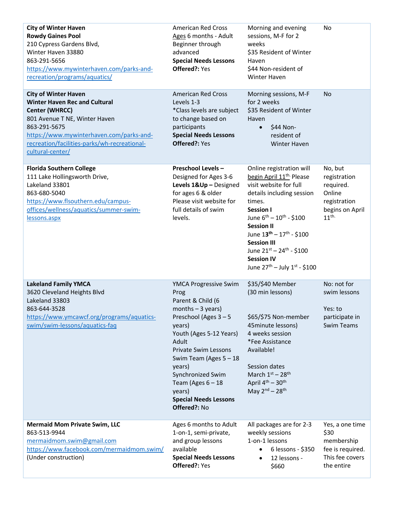| <b>City of Winter Haven</b><br><b>Rowdy Gaines Pool</b><br>210 Cypress Gardens Blvd,<br>Winter Haven 33880<br>863-291-5656<br>https://www.mywinterhaven.com/parks-and-<br>recreation/programs/aquatics/                                                       | <b>American Red Cross</b><br>Ages 6 months - Adult<br>Beginner through<br>advanced<br><b>Special Needs Lessons</b><br>Offered?: Yes                                                                                                                                                                                        | Morning and evening<br>sessions, M-F for 2<br>weeks<br>\$35 Resident of Winter<br>Haven<br>\$44 Non-resident of<br>Winter Haven                                                                                                                                                                                                                                                        | No                                                                                                    |
|---------------------------------------------------------------------------------------------------------------------------------------------------------------------------------------------------------------------------------------------------------------|----------------------------------------------------------------------------------------------------------------------------------------------------------------------------------------------------------------------------------------------------------------------------------------------------------------------------|----------------------------------------------------------------------------------------------------------------------------------------------------------------------------------------------------------------------------------------------------------------------------------------------------------------------------------------------------------------------------------------|-------------------------------------------------------------------------------------------------------|
| <b>City of Winter Haven</b><br><b>Winter Haven Rec and Cultural</b><br><b>Center (WHRCC)</b><br>801 Avenue T NE, Winter Haven<br>863-291-5675<br>https://www.mywinterhaven.com/parks-and-<br>recreation/facilities-parks/wh-recreational-<br>cultural-center/ | <b>American Red Cross</b><br>Levels 1-3<br>*Class levels are subject<br>to change based on<br>participants<br><b>Special Needs Lessons</b><br>Offered?: Yes                                                                                                                                                                | Morning sessions, M-F<br>for 2 weeks<br>\$35 Resident of Winter<br>Haven<br>\$44 Non-<br>$\bullet$<br>resident of<br><b>Winter Haven</b>                                                                                                                                                                                                                                               | No                                                                                                    |
| <b>Florida Southern College</b><br>111 Lake Hollingsworth Drive,<br>Lakeland 33801<br>863-680-5040<br>https://www.flsouthern.edu/campus-<br>offices/wellness/aquatics/summer-swim-<br>lessons.aspx                                                            | <b>Preschool Levels-</b><br>Designed for Ages 3-6<br>Levels 1&Up - Designed<br>for ages 6 & older<br>Please visit website for<br>full details of swim<br>levels.                                                                                                                                                           | Online registration will<br>begin April 11 <sup>th</sup> Please<br>visit website for full<br>details including session<br>times.<br><b>Session I</b><br>June $6^{th} - 10^{th}$ - \$100<br><b>Session II</b><br>June $13^{\text{th}} - 17^{\text{th}}$ - \$100<br><b>Session III</b><br>June $21^{st} - 24^{th} - $100$<br><b>Session IV</b><br>June $27^{th}$ – July $1^{st}$ - \$100 | No, but<br>registration<br>required.<br>Online<br>registration<br>begins on April<br>11 <sup>th</sup> |
| <b>Lakeland Family YMCA</b><br>3620 Cleveland Heights Blvd<br>Lakeland 33803<br>863-644-3528<br>https://www.ymcawcf.org/programs/aquatics-<br>swim/swim-lessons/aquatics-faq                                                                                  | YMCA Progressive Swim<br>Prog<br>Parent & Child (6<br>months $-3$ years)<br>Preschool (Ages 3 - 5<br>years)<br>Youth (Ages 5-12 Years)<br>Adult<br><b>Private Swim Lessons</b><br>Swim Team (Ages $5 - 18$<br>years)<br>Synchronized Swim<br>Team (Ages $6 - 18$<br>years)<br><b>Special Needs Lessons</b><br>Offered?: No | \$35/\$40 Member<br>(30 min lessons)<br>\$65/\$75 Non-member<br>45minute lessons)<br>4 weeks session<br>*Fee Assistance<br>Available!<br>Session dates<br>March $1st - 28th$<br>April $4^{th}$ – 30 <sup>th</sup><br>May $2nd - 28th$                                                                                                                                                  | No: not for<br>swim lessons<br>Yes: to<br>participate in<br><b>Swim Teams</b>                         |
| <b>Mermaid Mom Private Swim, LLC</b><br>863-513-9944<br>mermaidmom.swim@gmail.com<br>https://www.facebook.com/mermaidmom.swim/<br>(Under construction)                                                                                                        | Ages 6 months to Adult<br>1-on-1, semi-private,<br>and group lessons<br>available<br><b>Special Needs Lessons</b><br>Offered?: Yes                                                                                                                                                                                         | All packages are for 2-3<br>weekly sessions<br>1-on-1 lessons<br>6 lessons - \$350<br>12 lessons -<br>$\bullet$<br>\$660                                                                                                                                                                                                                                                               | Yes, a one time<br>\$30<br>membership<br>fee is required.<br>This fee covers<br>the entire            |